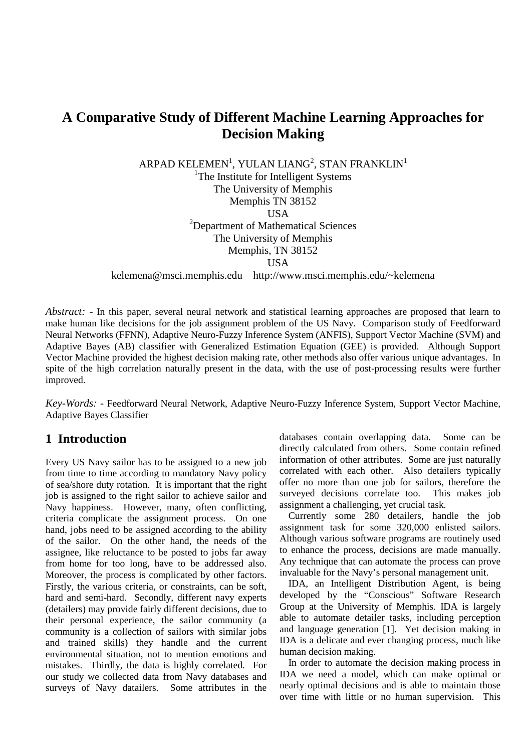# **A Comparative Study of Different Machine Learning Approaches for Decision Making**

ARPAD KELEMEN $^{\rm l}$ , YULAN LIANG $^{\rm 2}$ , STAN FRANKLIN $^{\rm l}$ <sup>1</sup>The Institute for Intelligent Systems The University of Memphis Memphis TN 38152 **USA** <sup>2</sup>Department of Mathematical Sciences The University of Memphis Memphis, TN 38152 **USA** kelemena@msci.memphis.edu http://www.msci.memphis.edu/~kelemena

*Abstract:* - In this paper, several neural network and statistical learning approaches are proposed that learn to make human like decisions for the job assignment problem of the US Navy. Comparison study of Feedforward Neural Networks (FFNN), Adaptive Neuro-Fuzzy Inference System (ANFIS), Support Vector Machine (SVM) and Adaptive Bayes (AB) classifier with Generalized Estimation Equation (GEE) is provided. Although Support Vector Machine provided the highest decision making rate, other methods also offer various unique advantages. In spite of the high correlation naturally present in the data, with the use of post-processing results were further improved.

*Key-Words:* - Feedforward Neural Network, Adaptive Neuro-Fuzzy Inference System, Support Vector Machine, Adaptive Bayes Classifier

## **1 Introduction**

Every US Navy sailor has to be assigned to a new job from time to time according to mandatory Navy policy of sea/shore duty rotation. It is important that the right job is assigned to the right sailor to achieve sailor and Navy happiness. However, many, often conflicting, criteria complicate the assignment process. On one hand, jobs need to be assigned according to the ability of the sailor. On the other hand, the needs of the assignee, like reluctance to be posted to jobs far away from home for too long, have to be addressed also. Moreover, the process is complicated by other factors. Firstly, the various criteria, or constraints, can be soft, hard and semi-hard. Secondly, different navy experts (detailers) may provide fairly different decisions, due to their personal experience, the sailor community (a community is a collection of sailors with similar jobs and trained skills) they handle and the current environmental situation, not to mention emotions and mistakes. Thirdly, the data is highly correlated. For our study we collected data from Navy databases and surveys of Navy datailers. Some attributes in the

databases contain overlapping data. Some can be directly calculated from others. Some contain refined information of other attributes. Some are just naturally correlated with each other. Also detailers typically offer no more than one job for sailors, therefore the surveyed decisions correlate too. This makes job assignment a challenging, yet crucial task.

Currently some 280 detailers, handle the job assignment task for some 320,000 enlisted sailors. Although various software programs are routinely used to enhance the process, decisions are made manually. Any technique that can automate the process can prove invaluable for the Navy's personal management unit.

IDA, an Intelligent Distribution Agent, is being developed by the "Conscious" Software Research Group at the University of Memphis. IDA is largely able to automate detailer tasks, including perception and language generation [1]. Yet decision making in IDA is a delicate and ever changing process, much like human decision making.

In order to automate the decision making process in IDA we need a model, which can make optimal or nearly optimal decisions and is able to maintain those over time with little or no human supervision. This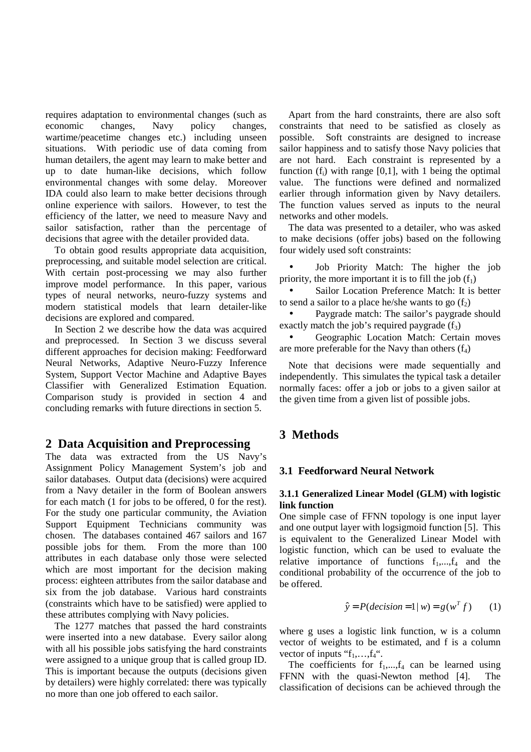requires adaptation to environmental changes (such as economic changes, Navy policy changes, wartime/peacetime changes etc.) including unseen situations. With periodic use of data coming from human detailers, the agent may learn to make better and up to date human-like decisions, which follow environmental changes with some delay. Moreover IDA could also learn to make better decisions through online experience with sailors. However, to test the efficiency of the latter, we need to measure Navy and sailor satisfaction, rather than the percentage of decisions that agree with the detailer provided data.

To obtain good results appropriate data acquisition, preprocessing, and suitable model selection are critical. With certain post-processing we may also further improve model performance. In this paper, various types of neural networks, neuro-fuzzy systems and modern statistical models that learn detailer-like decisions are explored and compared.

In Section 2 we describe how the data was acquired and preprocessed. In Section 3 we discuss several different approaches for decision making: Feedforward Neural Networks, Adaptive Neuro-Fuzzy Inference System, Support Vector Machine and Adaptive Bayes Classifier with Generalized Estimation Equation. Comparison study is provided in section 4 and concluding remarks with future directions in section 5.

## **2 Data Acquisition and Preprocessing**

The data was extracted from the US Navy's Assignment Policy Management System's job and sailor databases. Output data (decisions) were acquired from a Navy detailer in the form of Boolean answers for each match (1 for jobs to be offered, 0 for the rest). For the study one particular community, the Aviation Support Equipment Technicians community was chosen. The databases contained 467 sailors and 167 possible jobs for them. From the more than 100 attributes in each database only those were selected which are most important for the decision making process: eighteen attributes from the sailor database and six from the job database. Various hard constraints (constraints which have to be satisfied) were applied to these attributes complying with Navy policies.

The 1277 matches that passed the hard constraints were inserted into a new database. Every sailor along with all his possible jobs satisfying the hard constraints were assigned to a unique group that is called group ID. This is important because the outputs (decisions given by detailers) were highly correlated: there was typically no more than one job offered to each sailor.

Apart from the hard constraints, there are also soft constraints that need to be satisfied as closely as possible. Soft constraints are designed to increase sailor happiness and to satisfy those Navy policies that are not hard. Each constraint is represented by a function  $(f_i)$  with range [0,1], with 1 being the optimal value. The functions were defined and normalized earlier through information given by Navy detailers. The function values served as inputs to the neural networks and other models.

The data was presented to a detailer, who was asked to make decisions (offer jobs) based on the following four widely used soft constraints:

• Job Priority Match: The higher the job priority, the more important it is to fill the job  $(f_1)$ 

Sailor Location Preference Match: It is better to send a sailor to a place he/she wants to go  $(f_2)$ 

Paygrade match: The sailor's paygrade should exactly match the job's required paygrade  $(f_3)$ 

• Geographic Location Match: Certain moves are more preferable for the Navy than others  $(f_4)$ 

Note that decisions were made sequentially and independently. This simulates the typical task a detailer normally faces: offer a job or jobs to a given sailor at the given time from a given list of possible jobs.

## **3 Methods**

## **3.1 Feedforward Neural Network**

### **3.1.1 Generalized Linear Model (GLM) with logistic link function**

One simple case of FFNN topology is one input layer and one output layer with logsigmoid function [5]. This is equivalent to the Generalized Linear Model with logistic function, which can be used to evaluate the relative importance of functions  $f_1, \ldots, f_4$  and the conditional probability of the occurrence of the job to be offered.

$$
\hat{y} = P(decision = 1 | w) = g(w^T f)
$$
 (1)

where g uses a logistic link function, w is a column vector of weights to be estimated, and f is a column vector of inputs " $f_1$ ,..., $f_4$ ".

The coefficients for  $f_1, \ldots, f_4$  can be learned using FFNN with the quasi-Newton method [4]. The classification of decisions can be achieved through the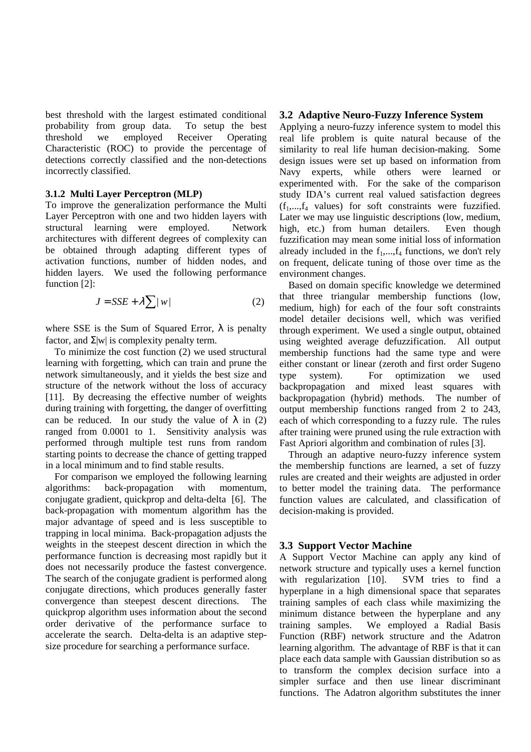best threshold with the largest estimated conditional probability from group data. To setup the best threshold we employed Receiver Operating Characteristic (ROC) to provide the percentage of detections correctly classified and the non-detections incorrectly classified.

#### **3.1.2 Multi Layer Perceptron (MLP)**

To improve the generalization performance the Multi Layer Perceptron with one and two hidden layers with structural learning were employed. Network architectures with different degrees of complexity can be obtained through adapting different types of activation functions, number of hidden nodes, and hidden layers. We used the following performance function [2]:

$$
J = SSE + \lambda \sum |w|
$$
 (2)

where SSE is the Sum of Squared Error,  $\lambda$  is penalty factor, and  $\Sigma |w|$  is complexity penalty term.

To minimize the cost function (2) we used structural learning with forgetting, which can train and prune the network simultaneously, and it yields the best size and structure of the network without the loss of accuracy [11]. By decreasing the effective number of weights during training with forgetting, the danger of overfitting can be reduced. In our study the value of  $\lambda$  in (2) ranged from 0.0001 to 1. Sensitivity analysis was performed through multiple test runs from random starting points to decrease the chance of getting trapped in a local minimum and to find stable results.

For comparison we employed the following learning algorithms: back-propagation with momentum, conjugate gradient, quickprop and delta-delta [6]. The back-propagation with momentum algorithm has the major advantage of speed and is less susceptible to trapping in local minima. Back-propagation adjusts the weights in the steepest descent direction in which the performance function is decreasing most rapidly but it does not necessarily produce the fastest convergence. The search of the conjugate gradient is performed along conjugate directions, which produces generally faster convergence than steepest descent directions. The quickprop algorithm uses information about the second order derivative of the performance surface to accelerate the search. Delta-delta is an adaptive stepsize procedure for searching a performance surface.

#### **3.2 Adaptive Neuro-Fuzzy Inference System**

Applying a neuro-fuzzy inference system to model this real life problem is quite natural because of the similarity to real life human decision-making. Some design issues were set up based on information from Navy experts, while others were learned or experimented with. For the sake of the comparison study IDA's current real valued satisfaction degrees  $(f_1,...,f_4)$  values) for soft constraints were fuzzified. Later we may use linguistic descriptions (low, medium, high, etc.) from human detailers. Even though fuzzification may mean some initial loss of information already included in the  $f_1, \ldots, f_4$  functions, we don't rely on frequent, delicate tuning of those over time as the environment changes.

Based on domain specific knowledge we determined that three triangular membership functions (low, medium, high) for each of the four soft constraints model detailer decisions well, which was verified through experiment. We used a single output, obtained using weighted average defuzzification. All output membership functions had the same type and were either constant or linear (zeroth and first order Sugeno type system). For optimization we used backpropagation and mixed least squares with backpropagation (hybrid) methods. The number of output membership functions ranged from 2 to 243, each of which corresponding to a fuzzy rule. The rules after training were pruned using the rule extraction with Fast Apriori algorithm and combination of rules [3].

Through an adaptive neuro-fuzzy inference system the membership functions are learned, a set of fuzzy rules are created and their weights are adjusted in order to better model the training data. The performance function values are calculated, and classification of decision-making is provided.

#### **3.3 Support Vector Machine**

A Support Vector Machine can apply any kind of network structure and typically uses a kernel function with regularization [10]. SVM tries to find a hyperplane in a high dimensional space that separates training samples of each class while maximizing the minimum distance between the hyperplane and any training samples. We employed a Radial Basis Function (RBF) network structure and the Adatron learning algorithm. The advantage of RBF is that it can place each data sample with Gaussian distribution so as to transform the complex decision surface into a simpler surface and then use linear discriminant functions. The Adatron algorithm substitutes the inner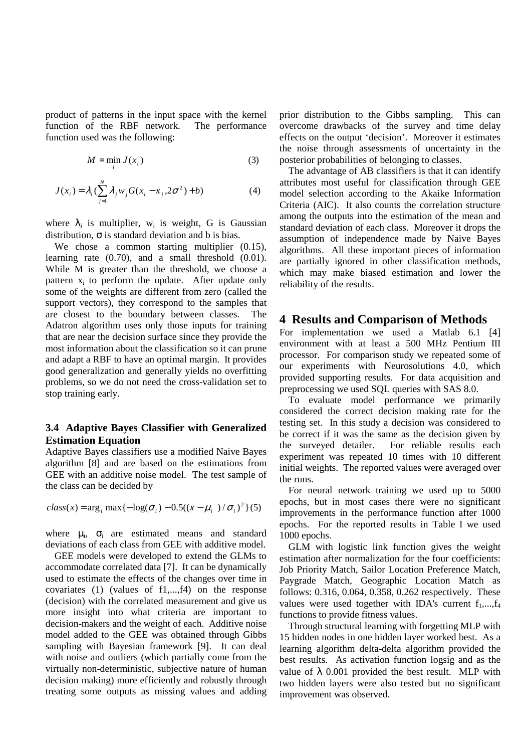product of patterns in the input space with the kernel function of the RBF network. The performance function used was the following:

$$
M = \min_{i} J(x_i) \tag{3}
$$

$$
J(x_i) = \lambda_i \left( \sum_{j=1}^N \lambda_j w_j G(x_i - x_j, 2\sigma^2) + b \right)
$$
 (4)

where  $\lambda_i$  is multiplier, w<sub>i</sub> is weight, G is Gaussian distribution,  $\sigma$  is standard deviation and b is bias.

We chose a common starting multiplier  $(0.15)$ , learning rate (0.70), and a small threshold (0.01). While M is greater than the threshold, we choose a pattern  $x_i$  to perform the update. After update only some of the weights are different from zero (called the support vectors), they correspond to the samples that are closest to the boundary between classes. The Adatron algorithm uses only those inputs for training that are near the decision surface since they provide the most information about the classification so it can prune and adapt a RBF to have an optimal margin. It provides good generalization and generally yields no overfitting problems, so we do not need the cross-validation set to stop training early.

### **3.4 Adaptive Bayes Classifier with Generalized Estimation Equation**

Adaptive Bayes classifiers use a modified Naive Bayes algorithm [8] and are based on the estimations from GEE with an additive noise model. The test sample of the class can be decided by

$$
class(x) = \arg_i \max \{-\log(\sigma_i) - 0.5((x - \mu_i)/\sigma_i)^2\}(5)
$$

where  $\mu_i$ ,  $\sigma_i$  are estimated means and standard deviations of each class from GEE with additive model.

GEE models were developed to extend the GLMs to accommodate correlated data [7]. It can be dynamically used to estimate the effects of the changes over time in covariates (1) (values of f1,...,f4) on the response (decision) with the correlated measurement and give us more insight into what criteria are important to decision-makers and the weight of each. Additive noise model added to the GEE was obtained through Gibbs sampling with Bayesian framework [9]. It can deal with noise and outliers (which partially come from the virtually non-deterministic, subjective nature of human decision making) more efficiently and robustly through treating some outputs as missing values and adding prior distribution to the Gibbs sampling. This can overcome drawbacks of the survey and time delay effects on the output 'decision'. Moreover it estimates the noise through assessments of uncertainty in the posterior probabilities of belonging to classes.

The advantage of AB classifiers is that it can identify attributes most useful for classification through GEE model selection according to the Akaike Information Criteria (AIC). It also counts the correlation structure among the outputs into the estimation of the mean and standard deviation of each class. Moreover it drops the assumption of independence made by Naive Bayes algorithms. All these important pieces of information are partially ignored in other classification methods, which may make biased estimation and lower the reliability of the results.

#### **4 Results and Comparison of Methods**

For implementation we used a Matlab 6.1 [4] environment with at least a 500 MHz Pentium III processor. For comparison study we repeated some of our experiments with Neurosolutions 4.0, which provided supporting results. For data acquisition and preprocessing we used SQL queries with SAS 8.0.

To evaluate model performance we primarily considered the correct decision making rate for the testing set. In this study a decision was considered to be correct if it was the same as the decision given by the surveyed detailer. For reliable results each experiment was repeated 10 times with 10 different initial weights. The reported values were averaged over the runs.

For neural network training we used up to 5000 epochs, but in most cases there were no significant improvements in the performance function after 1000 epochs. For the reported results in Table I we used 1000 epochs.

GLM with logistic link function gives the weight estimation after normalization for the four coefficients: Job Priority Match, Sailor Location Preference Match, Paygrade Match, Geographic Location Match as follows: 0.316, 0.064, 0.358, 0.262 respectively. These values were used together with IDA's current  $f_1, \ldots, f_4$ functions to provide fitness values.

Through structural learning with forgetting MLP with 15 hidden nodes in one hidden layer worked best. As a learning algorithm delta-delta algorithm provided the best results. As activation function logsig and as the value of  $\lambda$  0.001 provided the best result. MLP with two hidden layers were also tested but no significant improvement was observed.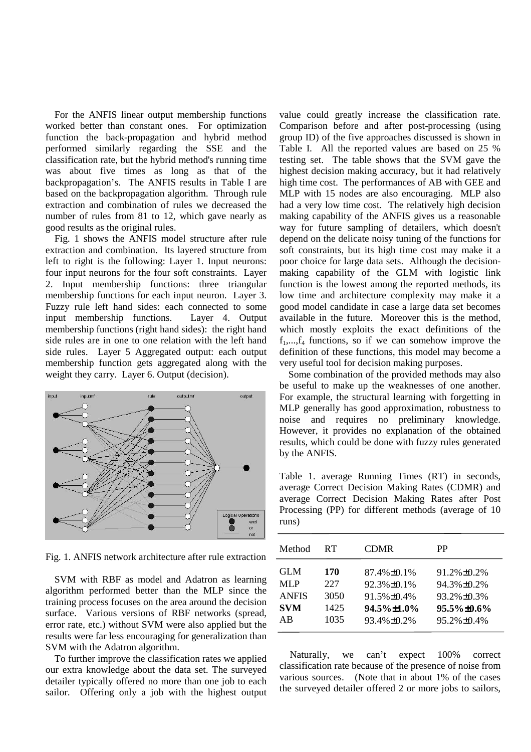For the ANFIS linear output membership functions worked better than constant ones. For optimization function the back-propagation and hybrid method performed similarly regarding the SSE and the classification rate, but the hybrid method's running time was about five times as long as that of the backpropagation's. The ANFIS results in Table I are based on the backpropagation algorithm. Through rule extraction and combination of rules we decreased the number of rules from 81 to 12, which gave nearly as good results as the original rules.

Fig. 1 shows the ANFIS model structure after rule extraction and combination. Its layered structure from left to right is the following: Layer 1. Input neurons: four input neurons for the four soft constraints. Layer 2. Input membership functions: three triangular membership functions for each input neuron. Layer 3. Fuzzy rule left hand sides: each connected to some input membership functions. Layer 4. Output membership functions (right hand sides): the right hand side rules are in one to one relation with the left hand side rules. Layer 5 Aggregated output: each output membership function gets aggregated along with the weight they carry. Layer 6. Output (decision).



Fig. 1. ANFIS network architecture after rule extraction

SVM with RBF as model and Adatron as learning algorithm performed better than the MLP since the training process focuses on the area around the decision surface. Various versions of RBF networks (spread, error rate, etc.) without SVM were also applied but the results were far less encouraging for generalization than SVM with the Adatron algorithm.

To further improve the classification rates we applied our extra knowledge about the data set. The surveyed detailer typically offered no more than one job to each sailor. Offering only a job with the highest output

value could greatly increase the classification rate. Comparison before and after post-processing (using group ID) of the five approaches discussed is shown in Table I. All the reported values are based on 25 % testing set. The table shows that the SVM gave the highest decision making accuracy, but it had relatively high time cost. The performances of AB with GEE and MLP with 15 nodes are also encouraging. MLP also had a very low time cost. The relatively high decision making capability of the ANFIS gives us a reasonable way for future sampling of detailers, which doesn't depend on the delicate noisy tuning of the functions for soft constraints, but its high time cost may make it a poor choice for large data sets. Although the decisionmaking capability of the GLM with logistic link function is the lowest among the reported methods, its low time and architecture complexity may make it a good model candidate in case a large data set becomes available in the future. Moreover this is the method, which mostly exploits the exact definitions of the  $f_1, \ldots, f_4$  functions, so if we can somehow improve the definition of these functions, this model may become a very useful tool for decision making purposes.

Some combination of the provided methods may also be useful to make up the weaknesses of one another. For example, the structural learning with forgetting in MLP generally has good approximation, robustness to noise and requires no preliminary knowledge. However, it provides no explanation of the obtained results, which could be done with fuzzy rules generated by the ANFIS.

Table 1. average Running Times (RT) in seconds, average Correct Decision Making Rates (CDMR) and average Correct Decision Making Rates after Post Processing (PP) for different methods (average of 10 runs)

| Method       | RT.  | <b>CDMR</b>        | PP                 |
|--------------|------|--------------------|--------------------|
| <b>GLM</b>   | 170  | $87.4\% \pm 0.1\%$ | $91.2\% \pm 0.2\%$ |
| MLP          | 227  | $92.3\% \pm 0.1\%$ | $94.3\% \pm 0.2\%$ |
| <b>ANFIS</b> | 3050 | $91.5\% + 0.4\%$   | $93.2\% + 0.3\%$   |
| <b>SVM</b>   | 1425 | 94.5%±1.0%         | $95.5\% \pm 0.6\%$ |
| AB           | 1035 | $93.4\% \pm 0.2\%$ | $95.2\% \pm 0.4\%$ |

Naturally, we can't expect 100% correct classification rate because of the presence of noise from various sources. (Note that in about 1% of the cases the surveyed detailer offered 2 or more jobs to sailors,